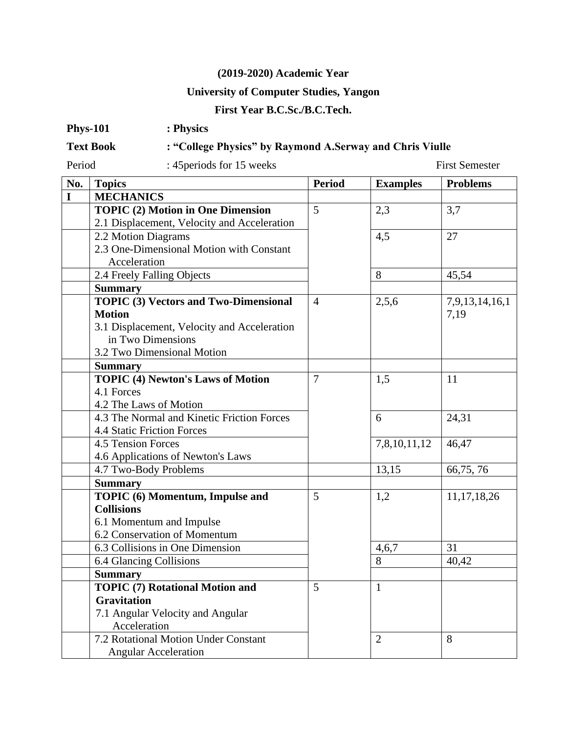## **(2019-2020) Academic Year**

## **University of Computer Studies, Yangon**

## **First Year B.C.Sc./B.C.Tech.**

| <b>Phys-101</b> | : Physics |
|-----------------|-----------|
|-----------------|-----------|

## **Text Book : "College Physics" by Raymond A.Serway and Chris Viulle**

Period : 45 periods for 15 weeks First Semester

| No. | <b>Topics</b>                                | <b>Period</b>  | <b>Examples</b> | <b>Problems</b>        |
|-----|----------------------------------------------|----------------|-----------------|------------------------|
| I   | <b>MECHANICS</b>                             |                |                 |                        |
|     | <b>TOPIC (2) Motion in One Dimension</b>     | 5              | 2,3             | 3,7                    |
|     | 2.1 Displacement, Velocity and Acceleration  |                |                 |                        |
|     | 2.2 Motion Diagrams                          |                | 4,5             | 27                     |
|     | 2.3 One-Dimensional Motion with Constant     |                |                 |                        |
|     | Acceleration                                 |                |                 |                        |
|     | 2.4 Freely Falling Objects                   |                | 8               | 45,54                  |
|     | <b>Summary</b>                               |                |                 |                        |
|     | <b>TOPIC (3) Vectors and Two-Dimensional</b> | $\overline{4}$ | 2,5,6           | 7,9,13,14,16,1<br>7,19 |
|     | <b>Motion</b>                                |                |                 |                        |
|     | 3.1 Displacement, Velocity and Acceleration  |                |                 |                        |
|     | in Two Dimensions                            |                |                 |                        |
|     | 3.2 Two Dimensional Motion                   |                |                 |                        |
|     | <b>Summary</b>                               |                |                 |                        |
|     | <b>TOPIC (4) Newton's Laws of Motion</b>     | $\overline{7}$ | 1,5             | 11                     |
|     | 4.1 Forces                                   |                |                 |                        |
|     | 4.2 The Laws of Motion                       |                |                 |                        |
|     | 4.3 The Normal and Kinetic Friction Forces   |                | 6               | 24,31                  |
|     | 4.4 Static Friction Forces                   |                |                 |                        |
|     | 4.5 Tension Forces                           |                | 7,8,10,11,12    | 46,47                  |
|     | 4.6 Applications of Newton's Laws            |                |                 |                        |
|     | 4.7 Two-Body Problems                        |                | 13,15           | 66,75,76               |
|     | <b>Summary</b>                               |                |                 |                        |
|     | TOPIC (6) Momentum, Impulse and              | 5              | 1,2             | 11, 17, 18, 26         |
|     | <b>Collisions</b>                            |                |                 |                        |
|     | 6.1 Momentum and Impulse                     |                |                 |                        |
|     | 6.2 Conservation of Momentum                 |                |                 |                        |
|     | 6.3 Collisions in One Dimension              |                | 4,6,7           | 31                     |
|     | 6.4 Glancing Collisions                      |                | 8               | 40,42                  |
|     | <b>Summary</b>                               |                |                 |                        |
|     | <b>TOPIC (7) Rotational Motion and</b>       | 5              | $\mathbf{1}$    |                        |
|     | <b>Gravitation</b>                           |                |                 |                        |
|     | 7.1 Angular Velocity and Angular             |                |                 |                        |
|     | Acceleration                                 |                |                 |                        |
|     | 7.2 Rotational Motion Under Constant         |                | $\overline{2}$  | 8                      |
|     | <b>Angular Acceleration</b>                  |                |                 |                        |